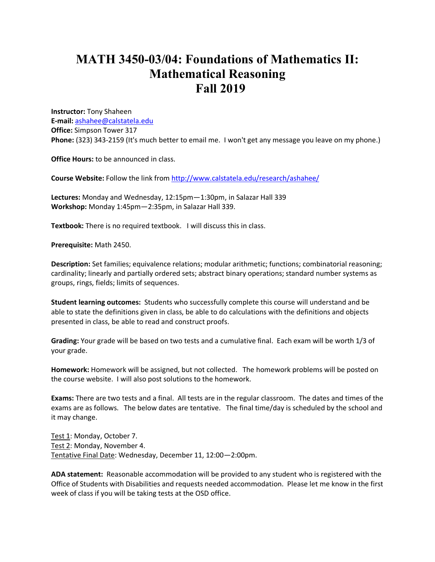## **MATH 3450-03/04: Foundations of Mathematics II: Mathematical Reasoning Fall 2019**

**Instructor:** Tony Shaheen **E-mail:** ashahee@calstatela.edu **Office:** Simpson Tower 317 **Phone:** (323) 343-2159 (It's much better to email me. I won't get any message you leave on my phone.)

**Office Hours:** to be announced in class.

**Course Website:** Follow the link from http://www.calstatela.edu/research/ashahee/

**Lectures:** Monday and Wednesday, 12:15pm—1:30pm, in Salazar Hall 339 **Workshop:** Monday 1:45pm—2:35pm, in Salazar Hall 339.

**Textbook:** There is no required textbook. I will discuss this in class.

**Prerequisite:** Math 2450.

**Description:** Set families; equivalence relations; modular arithmetic; functions; combinatorial reasoning; cardinality; linearly and partially ordered sets; abstract binary operations; standard number systems as groups, rings, fields; limits of sequences.

**Student learning outcomes:** Students who successfully complete this course will understand and be able to state the definitions given in class, be able to do calculations with the definitions and objects presented in class, be able to read and construct proofs.

**Grading:** Your grade will be based on two tests and a cumulative final. Each exam will be worth 1/3 of your grade.

**Homework:** Homework will be assigned, but not collected. The homework problems will be posted on the course website. I will also post solutions to the homework.

**Exams:** There are two tests and a final. All tests are in the regular classroom. The dates and times of the exams are as follows. The below dates are tentative. The final time/day is scheduled by the school and it may change.

Test 1: Monday, October 7. Test 2: Monday, November 4. Tentative Final Date: Wednesday, December 11, 12:00—2:00pm.

**ADA statement:** Reasonable accommodation will be provided to any student who is registered with the Office of Students with Disabilities and requests needed accommodation. Please let me know in the first week of class if you will be taking tests at the OSD office.